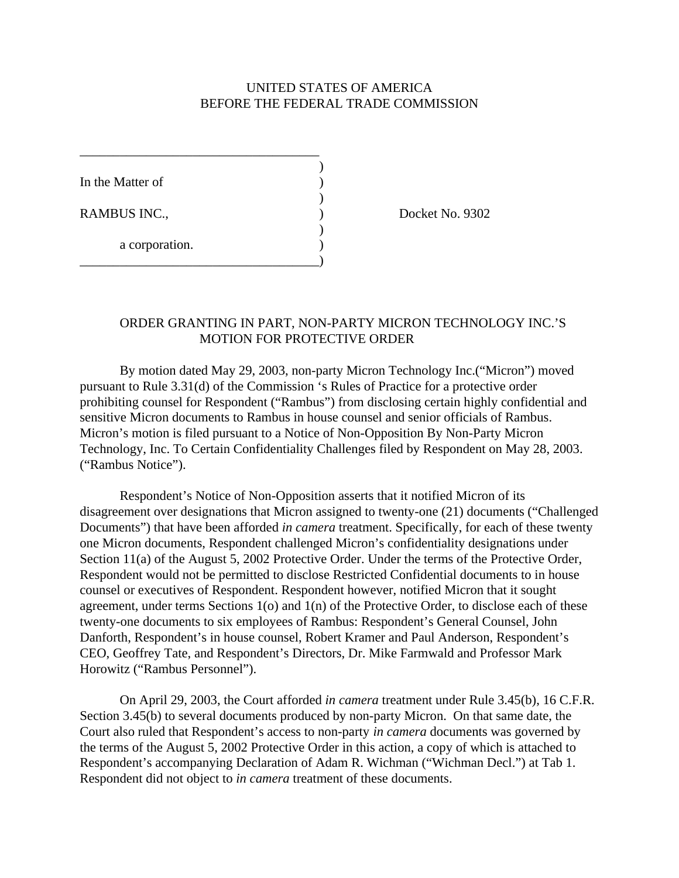## UNITED STATES OF AMERICA BEFORE THE FEDERAL TRADE COMMISSION

)

)

)

In the Matter of

a corporation.

\_\_\_\_\_\_\_\_\_\_\_\_\_\_\_\_\_\_\_\_\_\_\_\_\_\_\_\_\_\_\_\_\_\_\_\_

\_\_\_\_\_\_\_\_\_\_\_\_\_\_\_\_\_\_\_\_\_\_\_\_\_\_\_\_\_\_\_\_\_\_\_\_)

RAMBUS INC., Docket No. 9302

# ORDER GRANTING IN PART, NON-PARTY MICRON TECHNOLOGY INC.'S MOTION FOR PROTECTIVE ORDER

By motion dated May 29, 2003, non-party Micron Technology Inc.("Micron") moved pursuant to Rule 3.31(d) of the Commission 's Rules of Practice for a protective order prohibiting counsel for Respondent ("Rambus") from disclosing certain highly confidential and sensitive Micron documents to Rambus in house counsel and senior officials of Rambus. Micron's motion is filed pursuant to a Notice of Non-Opposition By Non-Party Micron Technology, Inc. To Certain Confidentiality Challenges filed by Respondent on May 28, 2003. ("Rambus Notice").

Respondent's Notice of Non-Opposition asserts that it notified Micron of its disagreement over designations that Micron assigned to twenty-one (21) documents ("Challenged Documents") that have been afforded *in camera* treatment. Specifically, for each of these twenty one Micron documents, Respondent challenged Micron's confidentiality designations under Section 11(a) of the August 5, 2002 Protective Order. Under the terms of the Protective Order, Respondent would not be permitted to disclose Restricted Confidential documents to in house counsel or executives of Respondent. Respondent however, notified Micron that it sought agreement, under terms Sections 1(o) and 1(n) of the Protective Order, to disclose each of these twenty-one documents to six employees of Rambus: Respondent's General Counsel, John Danforth, Respondent's in house counsel, Robert Kramer and Paul Anderson, Respondent's CEO, Geoffrey Tate, and Respondent's Directors, Dr. Mike Farmwald and Professor Mark Horowitz ("Rambus Personnel").

On April 29, 2003, the Court afforded *in camera* treatment under Rule 3.45(b), 16 C.F.R. Section 3.45(b) to several documents produced by non-party Micron. On that same date, the Court also ruled that Respondent's access to non-party *in camera* documents was governed by the terms of the August 5, 2002 Protective Order in this action, a copy of which is attached to Respondent's accompanying Declaration of Adam R. Wichman ("Wichman Decl.") at Tab 1. Respondent did not object to *in camera* treatment of these documents.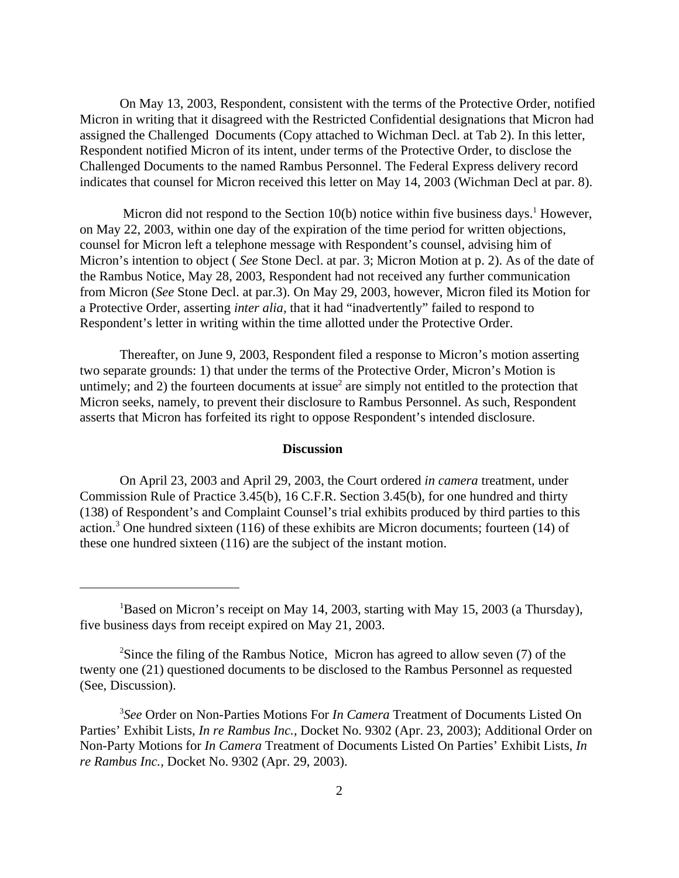On May 13, 2003, Respondent, consistent with the terms of the Protective Order, notified Micron in writing that it disagreed with the Restricted Confidential designations that Micron had assigned the Challenged Documents (Copy attached to Wichman Decl. at Tab 2). In this letter, Respondent notified Micron of its intent, under terms of the Protective Order, to disclose the Challenged Documents to the named Rambus Personnel. The Federal Express delivery record indicates that counsel for Micron received this letter on May 14, 2003 (Wichman Decl at par. 8).

Micron did not respond to the Section  $10(b)$  notice within five business days.<sup>1</sup> However, on May 22, 2003, within one day of the expiration of the time period for written objections, counsel for Micron left a telephone message with Respondent's counsel, advising him of Micron's intention to object ( *See* Stone Decl. at par. 3; Micron Motion at p. 2). As of the date of the Rambus Notice, May 28, 2003, Respondent had not received any further communication from Micron (*See* Stone Decl. at par.3). On May 29, 2003, however, Micron filed its Motion for a Protective Order, asserting *inter alia,* that it had "inadvertently" failed to respond to Respondent's letter in writing within the time allotted under the Protective Order.

Thereafter, on June 9, 2003, Respondent filed a response to Micron's motion asserting two separate grounds: 1) that under the terms of the Protective Order, Micron's Motion is untimely; and 2) the fourteen documents at issue<sup>2</sup> are simply not entitled to the protection that Micron seeks, namely, to prevent their disclosure to Rambus Personnel. As such, Respondent asserts that Micron has forfeited its right to oppose Respondent's intended disclosure.

#### **Discussion**

On April 23, 2003 and April 29, 2003, the Court ordered *in camera* treatment, under Commission Rule of Practice 3.45(b), 16 C.F.R. Section 3.45(b), for one hundred and thirty (138) of Respondent's and Complaint Counsel's trial exhibits produced by third parties to this action.<sup>3</sup> One hundred sixteen (116) of these exhibits are Micron documents; fourteen (14) of these one hundred sixteen (116) are the subject of the instant motion.

<sup>&</sup>lt;sup>1</sup>Based on Micron's receipt on May 14, 2003, starting with May 15, 2003 (a Thursday), five business days from receipt expired on May 21, 2003.

<sup>&</sup>lt;sup>2</sup>Since the filing of the Rambus Notice, Micron has agreed to allow seven  $(7)$  of the twenty one (21) questioned documents to be disclosed to the Rambus Personnel as requested (See, Discussion).

<sup>3</sup> *See* Order on Non-Parties Motions For *In Camera* Treatment of Documents Listed On Parties' Exhibit Lists, *In re Rambus Inc.*, Docket No. 9302 (Apr. 23, 2003); Additional Order on Non-Party Motions for *In Camera* Treatment of Documents Listed On Parties' Exhibit Lists, *In re Rambus Inc.,* Docket No. 9302 (Apr. 29, 2003).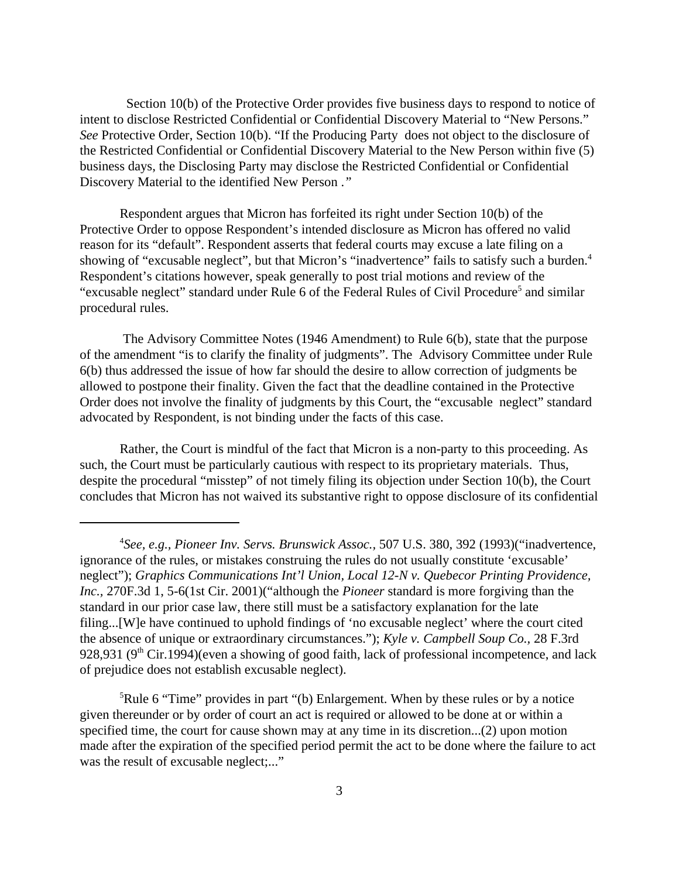Section 10(b) of the Protective Order provides five business days to respond to notice of intent to disclose Restricted Confidential or Confidential Discovery Material to "New Persons." *See* Protective Order, Section 10(b). "If the Producing Party does not object to the disclosure of the Restricted Confidential or Confidential Discovery Material to the New Person within five (5) business days, the Disclosing Party may disclose the Restricted Confidential or Confidential Discovery Material to the identified New Person .*"*

Respondent argues that Micron has forfeited its right under Section 10(b) of the Protective Order to oppose Respondent's intended disclosure as Micron has offered no valid reason for its "default". Respondent asserts that federal courts may excuse a late filing on a showing of "excusable neglect", but that Micron's "inadvertence" fails to satisfy such a burden.<sup>4</sup> Respondent's citations however, speak generally to post trial motions and review of the "excusable neglect" standard under Rule 6 of the Federal Rules of Civil Procedure<sup>5</sup> and similar procedural rules.

 The Advisory Committee Notes (1946 Amendment) to Rule 6(b), state that the purpose of the amendment "is to clarify the finality of judgments". The Advisory Committee under Rule 6(b) thus addressed the issue of how far should the desire to allow correction of judgments be allowed to postpone their finality. Given the fact that the deadline contained in the Protective Order does not involve the finality of judgments by this Court, the "excusable neglect" standard advocated by Respondent, is not binding under the facts of this case.

Rather, the Court is mindful of the fact that Micron is a non-party to this proceeding. As such, the Court must be particularly cautious with respect to its proprietary materials. Thus, despite the procedural "misstep" of not timely filing its objection under Section 10(b), the Court concludes that Micron has not waived its substantive right to oppose disclosure of its confidential

<sup>5</sup>Rule 6 "Time" provides in part "(b) Enlargement. When by these rules or by a notice given thereunder or by order of court an act is required or allowed to be done at or within a specified time, the court for cause shown may at any time in its discretion...(2) upon motion made after the expiration of the specified period permit the act to be done where the failure to act was the result of excusable neglect;..."

<sup>4</sup> *See, e.g., Pioneer Inv. Servs. Brunswick Assoc.,* 507 U.S. 380, 392 (1993)("inadvertence, ignorance of the rules, or mistakes construing the rules do not usually constitute 'excusable' neglect"); *Graphics Communications Int'l Union, Local 12-N v. Quebecor Printing Providence, Inc.,* 270F.3d 1, 5-6(1st Cir. 2001)("although the *Pioneer* standard is more forgiving than the standard in our prior case law, there still must be a satisfactory explanation for the late filing...[W]e have continued to uphold findings of 'no excusable neglect' where the court cited the absence of unique or extraordinary circumstances."); *Kyle v. Campbell Soup Co.,* 28 F.3rd 928,931 ( $9<sup>th</sup>$  Cir.1994)(even a showing of good faith, lack of professional incompetence, and lack of prejudice does not establish excusable neglect).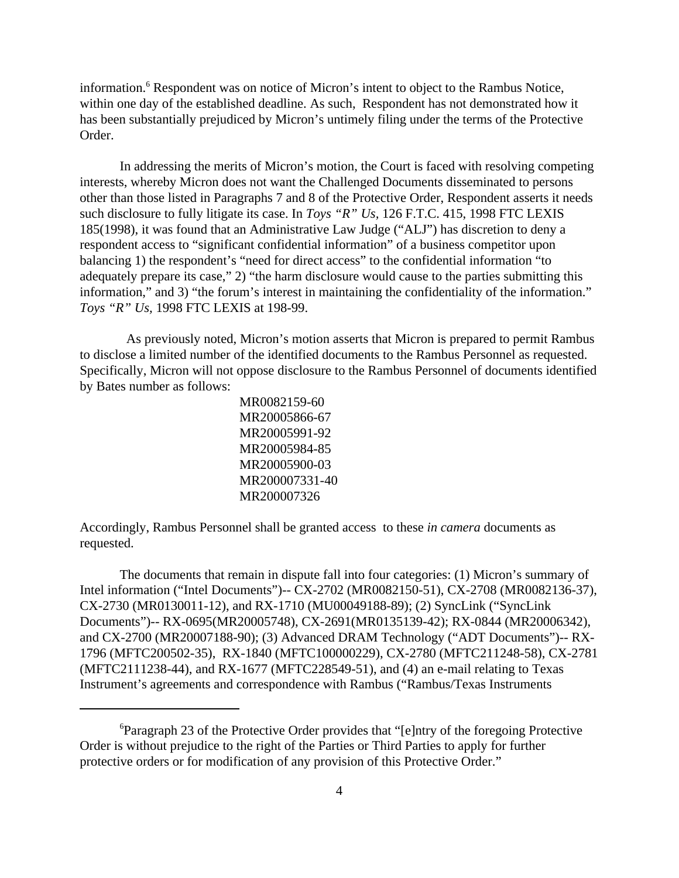information.<sup>6</sup> Respondent was on notice of Micron's intent to object to the Rambus Notice, within one day of the established deadline. As such, Respondent has not demonstrated how it has been substantially prejudiced by Micron's untimely filing under the terms of the Protective Order.

In addressing the merits of Micron's motion, the Court is faced with resolving competing interests, whereby Micron does not want the Challenged Documents disseminated to persons other than those listed in Paragraphs 7 and 8 of the Protective Order, Respondent asserts it needs such disclosure to fully litigate its case. In *Toys "R" Us,* 126 F.T.C. 415, 1998 FTC LEXIS 185(1998), it was found that an Administrative Law Judge ("ALJ") has discretion to deny a respondent access to "significant confidential information" of a business competitor upon balancing 1) the respondent's "need for direct access" to the confidential information "to adequately prepare its case," 2) "the harm disclosure would cause to the parties submitting this information," and 3) "the forum's interest in maintaining the confidentiality of the information." *Toys "R" Us,* 1998 FTC LEXIS at 198-99.

 As previously noted, Micron's motion asserts that Micron is prepared to permit Rambus to disclose a limited number of the identified documents to the Rambus Personnel as requested. Specifically, Micron will not oppose disclosure to the Rambus Personnel of documents identified by Bates number as follows:

> MR0082159-60 MR20005866-67 MR20005991-92 MR20005984-85 MR20005900-03 MR200007331-40 MR200007326

Accordingly, Rambus Personnel shall be granted access to these *in camera* documents as requested.

The documents that remain in dispute fall into four categories: (1) Micron's summary of Intel information ("Intel Documents")-- CX-2702 (MR0082150-51), CX-2708 (MR0082136-37), CX-2730 (MR0130011-12), and RX-1710 (MU00049188-89); (2) SyncLink ("SyncLink Documents")-- RX-0695(MR20005748), CX-2691(MR0135139-42); RX-0844 (MR20006342), and CX-2700 (MR20007188-90); (3) Advanced DRAM Technology ("ADT Documents")-- RX-1796 (MFTC200502-35), RX-1840 (MFTC100000229), CX-2780 (MFTC211248-58), CX-2781 (MFTC2111238-44), and RX-1677 (MFTC228549-51), and (4) an e-mail relating to Texas Instrument's agreements and correspondence with Rambus ("Rambus/Texas Instruments

<sup>&</sup>lt;sup>6</sup>Paragraph 23 of the Protective Order provides that "[e]ntry of the foregoing Protective Order is without prejudice to the right of the Parties or Third Parties to apply for further protective orders or for modification of any provision of this Protective Order."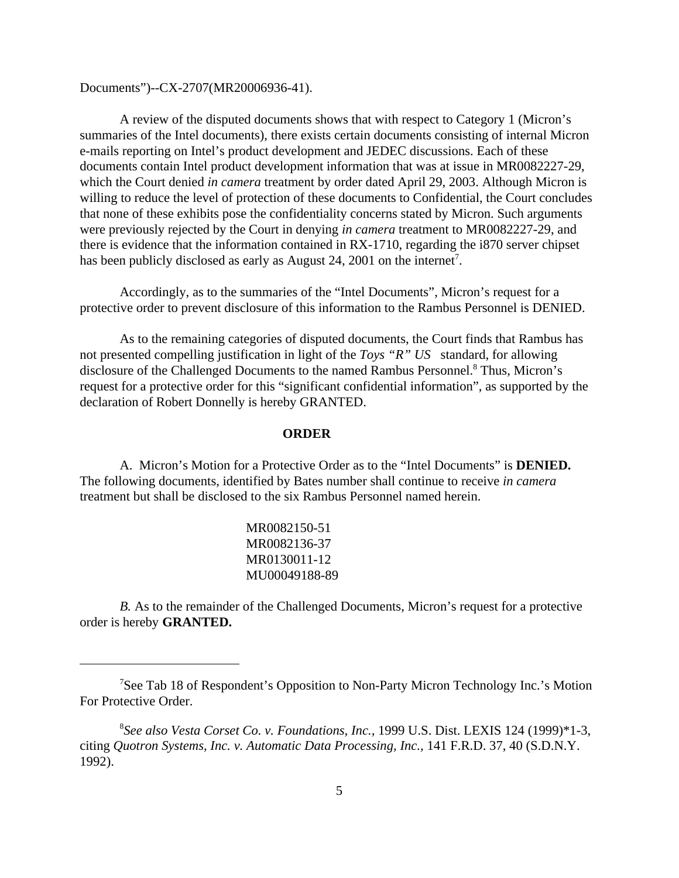Documents")--CX-2707(MR20006936-41).

A review of the disputed documents shows that with respect to Category 1 (Micron's summaries of the Intel documents), there exists certain documents consisting of internal Micron e-mails reporting on Intel's product development and JEDEC discussions. Each of these documents contain Intel product development information that was at issue in MR0082227-29, which the Court denied *in camera* treatment by order dated April 29, 2003. Although Micron is willing to reduce the level of protection of these documents to Confidential, the Court concludes that none of these exhibits pose the confidentiality concerns stated by Micron. Such arguments were previously rejected by the Court in denying *in camera* treatment to MR0082227-29, and there is evidence that the information contained in RX-1710, regarding the i870 server chipset has been publicly disclosed as early as August 24, 2001 on the internet<sup>7</sup>.

Accordingly, as to the summaries of the "Intel Documents", Micron's request for a protective order to prevent disclosure of this information to the Rambus Personnel is DENIED.

As to the remaining categories of disputed documents, the Court finds that Rambus has not presented compelling justification in light of the *Toys "R" US* standard, for allowing disclosure of the Challenged Documents to the named Rambus Personnel.<sup>8</sup> Thus, Micron's request for a protective order for this "significant confidential information", as supported by the declaration of Robert Donnelly is hereby GRANTED.

### **ORDER**

A. Micron's Motion for a Protective Order as to the "Intel Documents" is **DENIED.** The following documents, identified by Bates number shall continue to receive *in camera* treatment but shall be disclosed to the six Rambus Personnel named herein.

> MR0082150-51 MR0082136-37 MR0130011-12 MU00049188-89

*B.* As to the remainder of the Challenged Documents, Micron's request for a protective order is hereby **GRANTED.**

<sup>7</sup>See Tab 18 of Respondent's Opposition to Non-Party Micron Technology Inc.'s Motion For Protective Order.

<sup>8</sup> *See also Vesta Corset Co. v. Foundations, Inc.,* 1999 U.S. Dist. LEXIS 124 (1999)\*1-3, citing *Quotron Systems, Inc. v. Automatic Data Processing, Inc.,* 141 F.R.D. 37, 40 (S.D.N.Y. 1992).